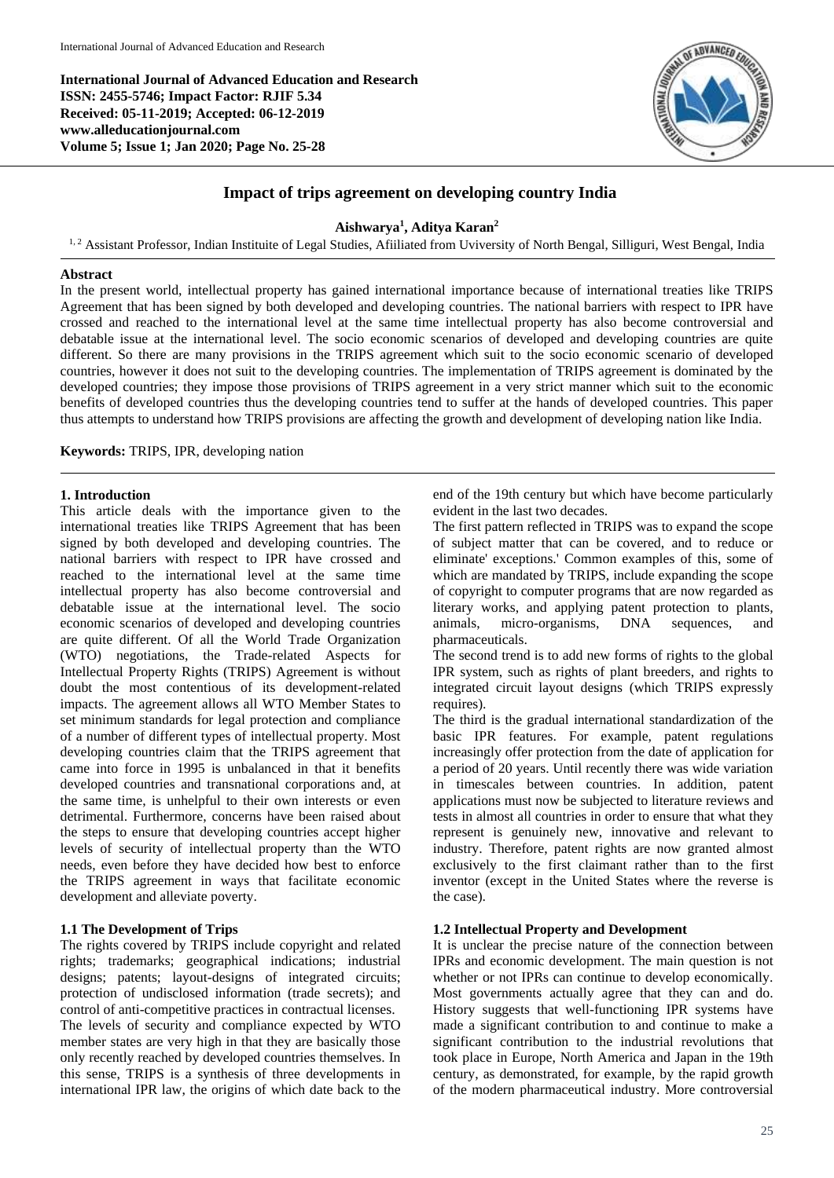**International Journal of Advanced Education and Research ISSN: 2455-5746; Impact Factor: RJIF 5.34 Received: 05-11-2019; Accepted: 06-12-2019 www.alleducationjournal.com Volume 5; Issue 1; Jan 2020; Page No. 25-28**



# **Impact of trips agreement on developing country India**

## **Aishwarya<sup>1</sup> , Aditya Karan<sup>2</sup>**

<sup>1, 2</sup> Assistant Professor, Indian Instituite of Legal Studies, Afiiliated from Uviversity of North Bengal, Silliguri, West Bengal, India

#### **Abstract**

In the present world, intellectual property has gained international importance because of international treaties like TRIPS Agreement that has been signed by both developed and developing countries. The national barriers with respect to IPR have crossed and reached to the international level at the same time intellectual property has also become controversial and debatable issue at the international level. The socio economic scenarios of developed and developing countries are quite different. So there are many provisions in the TRIPS agreement which suit to the socio economic scenario of developed countries, however it does not suit to the developing countries. The implementation of TRIPS agreement is dominated by the developed countries; they impose those provisions of TRIPS agreement in a very strict manner which suit to the economic benefits of developed countries thus the developing countries tend to suffer at the hands of developed countries. This paper thus attempts to understand how TRIPS provisions are affecting the growth and development of developing nation like India.

**Keywords:** TRIPS, IPR, developing nation

#### **1. Introduction**

This article deals with the importance given to the international treaties like TRIPS Agreement that has been signed by both developed and developing countries. The national barriers with respect to IPR have crossed and reached to the international level at the same time intellectual property has also become controversial and debatable issue at the international level. The socio economic scenarios of developed and developing countries are quite different. Of all the World Trade Organization (WTO) negotiations, the Trade-related Aspects for Intellectual Property Rights (TRIPS) Agreement is without doubt the most contentious of its development-related impacts. The agreement allows all WTO Member States to set minimum standards for legal protection and compliance of a number of different types of intellectual property. Most developing countries claim that the TRIPS agreement that came into force in 1995 is unbalanced in that it benefits developed countries and transnational corporations and, at the same time, is unhelpful to their own interests or even detrimental. Furthermore, concerns have been raised about the steps to ensure that developing countries accept higher levels of security of intellectual property than the WTO needs, even before they have decided how best to enforce the TRIPS agreement in ways that facilitate economic development and alleviate poverty.

## **1.1 The Development of Trips**

The rights covered by TRIPS include copyright and related rights; trademarks; geographical indications; industrial designs; patents; layout-designs of integrated circuits; protection of undisclosed information (trade secrets); and control of anti-competitive practices in contractual licenses. The levels of security and compliance expected by WTO member states are very high in that they are basically those only recently reached by developed countries themselves. In this sense, TRIPS is a synthesis of three developments in international IPR law, the origins of which date back to the end of the 19th century but which have become particularly evident in the last two decades.

The first pattern reflected in TRIPS was to expand the scope of subject matter that can be covered, and to reduce or eliminate' exceptions.' Common examples of this, some of which are mandated by TRIPS, include expanding the scope of copyright to computer programs that are now regarded as literary works, and applying patent protection to plants, animals, micro-organisms, DNA sequences, and pharmaceuticals.

The second trend is to add new forms of rights to the global IPR system, such as rights of plant breeders, and rights to integrated circuit layout designs (which TRIPS expressly requires).

The third is the gradual international standardization of the basic IPR features. For example, patent regulations increasingly offer protection from the date of application for a period of 20 years. Until recently there was wide variation in timescales between countries. In addition, patent applications must now be subjected to literature reviews and tests in almost all countries in order to ensure that what they represent is genuinely new, innovative and relevant to industry. Therefore, patent rights are now granted almost exclusively to the first claimant rather than to the first inventor (except in the United States where the reverse is the case).

## **1.2 Intellectual Property and Development**

It is unclear the precise nature of the connection between IPRs and economic development. The main question is not whether or not IPRs can continue to develop economically. Most governments actually agree that they can and do. History suggests that well-functioning IPR systems have made a significant contribution to and continue to make a significant contribution to the industrial revolutions that took place in Europe, North America and Japan in the 19th century, as demonstrated, for example, by the rapid growth of the modern pharmaceutical industry. More controversial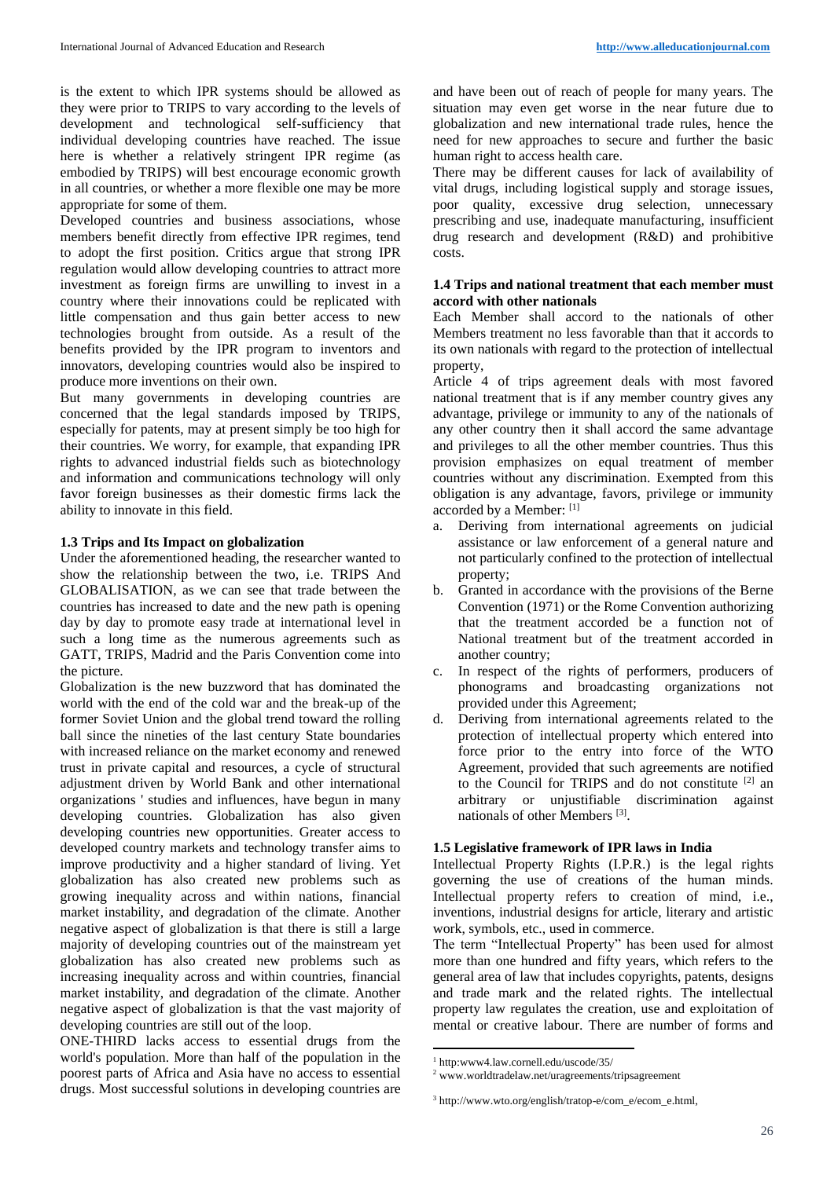is the extent to which IPR systems should be allowed as they were prior to TRIPS to vary according to the levels of development and technological self-sufficiency that individual developing countries have reached. The issue here is whether a relatively stringent IPR regime (as embodied by TRIPS) will best encourage economic growth in all countries, or whether a more flexible one may be more appropriate for some of them.

Developed countries and business associations, whose members benefit directly from effective IPR regimes, tend to adopt the first position. Critics argue that strong IPR regulation would allow developing countries to attract more investment as foreign firms are unwilling to invest in a country where their innovations could be replicated with little compensation and thus gain better access to new technologies brought from outside. As a result of the benefits provided by the IPR program to inventors and innovators, developing countries would also be inspired to produce more inventions on their own.

But many governments in developing countries are concerned that the legal standards imposed by TRIPS, especially for patents, may at present simply be too high for their countries. We worry, for example, that expanding IPR rights to advanced industrial fields such as biotechnology and information and communications technology will only favor foreign businesses as their domestic firms lack the ability to innovate in this field.

#### **1.3 Trips and Its Impact on globalization**

Under the aforementioned heading, the researcher wanted to show the relationship between the two, i.e. TRIPS And GLOBALISATION, as we can see that trade between the countries has increased to date and the new path is opening day by day to promote easy trade at international level in such a long time as the numerous agreements such as GATT, TRIPS, Madrid and the Paris Convention come into the picture.

Globalization is the new buzzword that has dominated the world with the end of the cold war and the break-up of the former Soviet Union and the global trend toward the rolling ball since the nineties of the last century State boundaries with increased reliance on the market economy and renewed trust in private capital and resources, a cycle of structural adjustment driven by World Bank and other international organizations ' studies and influences, have begun in many developing countries. Globalization has also given developing countries new opportunities. Greater access to developed country markets and technology transfer aims to improve productivity and a higher standard of living. Yet globalization has also created new problems such as growing inequality across and within nations, financial market instability, and degradation of the climate. Another negative aspect of globalization is that there is still a large majority of developing countries out of the mainstream yet globalization has also created new problems such as increasing inequality across and within countries, financial market instability, and degradation of the climate. Another negative aspect of globalization is that the vast majority of developing countries are still out of the loop.

ONE-THIRD lacks access to essential drugs from the world's population. More than half of the population in the poorest parts of Africa and Asia have no access to essential drugs. Most successful solutions in developing countries are

and have been out of reach of people for many years. The situation may even get worse in the near future due to globalization and new international trade rules, hence the need for new approaches to secure and further the basic human right to access health care.

There may be different causes for lack of availability of vital drugs, including logistical supply and storage issues, poor quality, excessive drug selection, unnecessary prescribing and use, inadequate manufacturing, insufficient drug research and development (R&D) and prohibitive costs.

#### **1.4 Trips and national treatment that each member must accord with other nationals**

Each Member shall accord to the nationals of other Members treatment no less favorable than that it accords to its own nationals with regard to the protection of intellectual property,

Article 4 of trips agreement deals with most favored national treatment that is if any member country gives any advantage, privilege or immunity to any of the nationals of any other country then it shall accord the same advantage and privileges to all the other member countries. Thus this provision emphasizes on equal treatment of member countries without any discrimination. Exempted from this obligation is any advantage, favors, privilege or immunity accorded by a Member: [1]

- a. Deriving from international agreements on judicial assistance or law enforcement of a general nature and not particularly confined to the protection of intellectual property;
- b. Granted in accordance with the provisions of the Berne Convention (1971) or the Rome Convention authorizing that the treatment accorded be a function not of National treatment but of the treatment accorded in another country;
- c. In respect of the rights of performers, producers of phonograms and broadcasting organizations not provided under this Agreement;
- d. Deriving from international agreements related to the protection of intellectual property which entered into force prior to the entry into force of the WTO Agreement, provided that such agreements are notified to the Council for TRIPS and do not constitute [2] an arbitrary or unjustifiable discrimination against nationals of other Members<sup>[3]</sup>.

## **1.5 Legislative framework of IPR laws in India**

Intellectual Property Rights (I.P.R.) is the legal rights governing the use of creations of the human minds. Intellectual property refers to creation of mind, i.e., inventions, industrial designs for article, literary and artistic work, symbols, etc., used in commerce.

The term "Intellectual Property" has been used for almost more than one hundred and fifty years, which refers to the general area of law that includes copyrights, patents, designs and trade mark and the related rights. The intellectual property law regulates the creation, use and exploitation of mental or creative labour. There are number of forms and

**<sup>.</sup>** 1 http:www4.law.cornell.edu/uscode/35/

<sup>2</sup> www.worldtradelaw.net/uragreements/tripsagreement

<sup>3</sup> http://www.wto.org/english/tratop-e/com\_e/ecom\_e.html,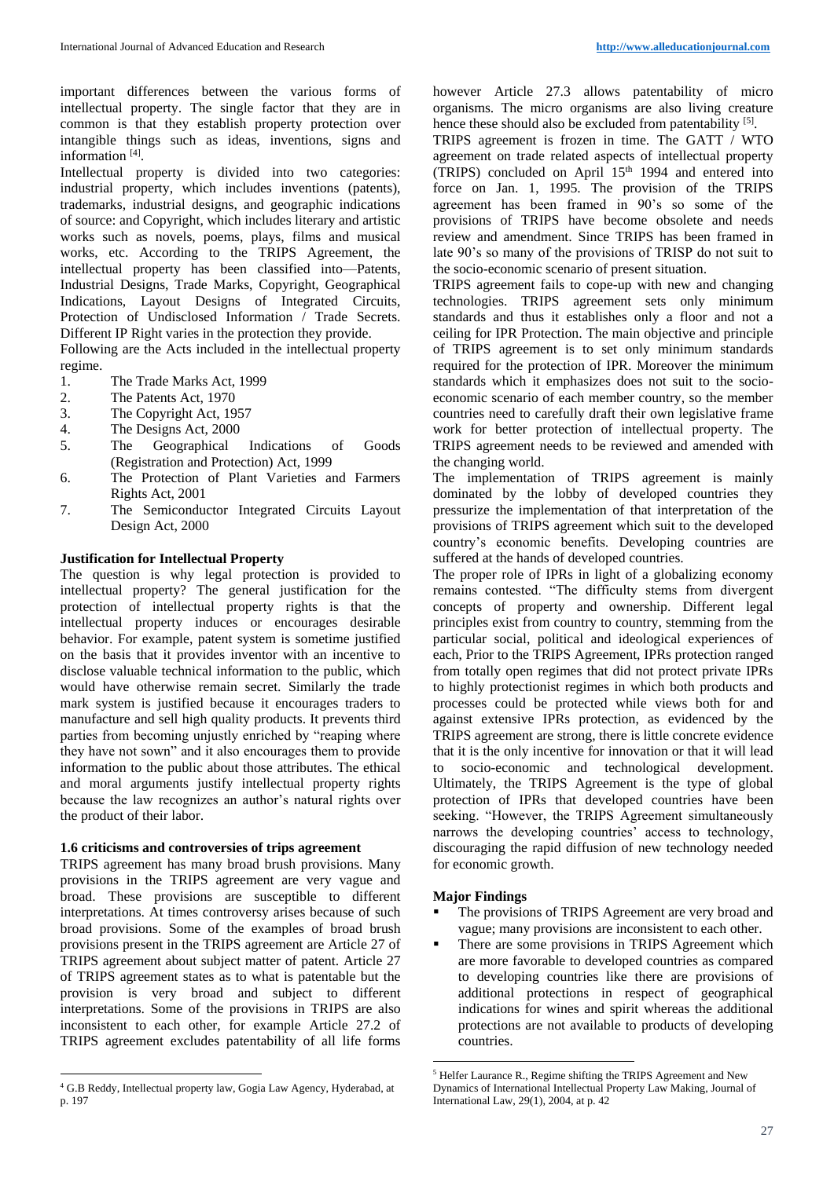important differences between the various forms of intellectual property. The single factor that they are in common is that they establish property protection over intangible things such as ideas, inventions, signs and information<sup>[4]</sup>.

Intellectual property is divided into two categories: industrial property, which includes inventions (patents), trademarks, industrial designs, and geographic indications of source: and Copyright, which includes literary and artistic works such as novels, poems, plays, films and musical works, etc. According to the TRIPS Agreement, the intellectual property has been classified into—Patents, Industrial Designs, Trade Marks, Copyright, Geographical Indications, Layout Designs of Integrated Circuits, Protection of Undisclosed Information / Trade Secrets. Different IP Right varies in the protection they provide.

Following are the Acts included in the intellectual property regime.

- 1. The Trade Marks Act, 1999
- 2. The Patents Act, 1970
- 3. The Copyright Act, 1957
- 4. The Designs Act, 2000
- 5. The Geographical Indications of Goods (Registration and Protection) Act, 1999
- 6. The Protection of Plant Varieties and Farmers Rights Act, 2001
- 7. The Semiconductor Integrated Circuits Layout Design Act, 2000

### **Justification for Intellectual Property**

The question is why legal protection is provided to intellectual property? The general justification for the protection of intellectual property rights is that the intellectual property induces or encourages desirable behavior. For example, patent system is sometime justified on the basis that it provides inventor with an incentive to disclose valuable technical information to the public, which would have otherwise remain secret. Similarly the trade mark system is justified because it encourages traders to manufacture and sell high quality products. It prevents third parties from becoming unjustly enriched by "reaping where they have not sown" and it also encourages them to provide information to the public about those attributes. The ethical and moral arguments justify intellectual property rights because the law recognizes an author's natural rights over the product of their labor.

## **1.6 criticisms and controversies of trips agreement**

TRIPS agreement has many broad brush provisions. Many provisions in the TRIPS agreement are very vague and broad. These provisions are susceptible to different interpretations. At times controversy arises because of such broad provisions. Some of the examples of broad brush provisions present in the TRIPS agreement are Article 27 of TRIPS agreement about subject matter of patent. Article 27 of TRIPS agreement states as to what is patentable but the provision is very broad and subject to different interpretations. Some of the provisions in TRIPS are also inconsistent to each other, for example Article 27.2 of TRIPS agreement excludes patentability of all life forms

however Article 27.3 allows patentability of micro organisms. The micro organisms are also living creature hence these should also be excluded from patentability [5].

TRIPS agreement is frozen in time. The GATT / WTO agreement on trade related aspects of intellectual property (TRIPS) concluded on April 15th 1994 and entered into force on Jan. 1, 1995. The provision of the TRIPS agreement has been framed in 90's so some of the provisions of TRIPS have become obsolete and needs review and amendment. Since TRIPS has been framed in late 90's so many of the provisions of TRISP do not suit to the socio-economic scenario of present situation.

TRIPS agreement fails to cope-up with new and changing technologies. TRIPS agreement sets only minimum standards and thus it establishes only a floor and not a ceiling for IPR Protection. The main objective and principle of TRIPS agreement is to set only minimum standards required for the protection of IPR. Moreover the minimum standards which it emphasizes does not suit to the socioeconomic scenario of each member country, so the member countries need to carefully draft their own legislative frame work for better protection of intellectual property. The TRIPS agreement needs to be reviewed and amended with the changing world.

The implementation of TRIPS agreement is mainly dominated by the lobby of developed countries they pressurize the implementation of that interpretation of the provisions of TRIPS agreement which suit to the developed country's economic benefits. Developing countries are suffered at the hands of developed countries.

The proper role of IPRs in light of a globalizing economy remains contested. "The difficulty stems from divergent concepts of property and ownership. Different legal principles exist from country to country, stemming from the particular social, political and ideological experiences of each, Prior to the TRIPS Agreement, IPRs protection ranged from totally open regimes that did not protect private IPRs to highly protectionist regimes in which both products and processes could be protected while views both for and against extensive IPRs protection, as evidenced by the TRIPS agreement are strong, there is little concrete evidence that it is the only incentive for innovation or that it will lead to socio-economic and technological development. Ultimately, the TRIPS Agreement is the type of global protection of IPRs that developed countries have been seeking. "However, the TRIPS Agreement simultaneously narrows the developing countries' access to technology, discouraging the rapid diffusion of new technology needed for economic growth.

### **Major Findings**

**.** 

- The provisions of TRIPS Agreement are very broad and vague; many provisions are inconsistent to each other.
- There are some provisions in TRIPS Agreement which are more favorable to developed countries as compared to developing countries like there are provisions of additional protections in respect of geographical indications for wines and spirit whereas the additional protections are not available to products of developing countries.

 $\overline{a}$ <sup>4</sup> G.B Reddy, Intellectual property law, Gogia Law Agency, Hyderabad, at p. 197

<sup>5</sup> Helfer Laurance R., Regime shifting the TRIPS Agreement and New Dynamics of International Intellectual Property Law Making, Journal of International Law, 29(1), 2004, at p. 42